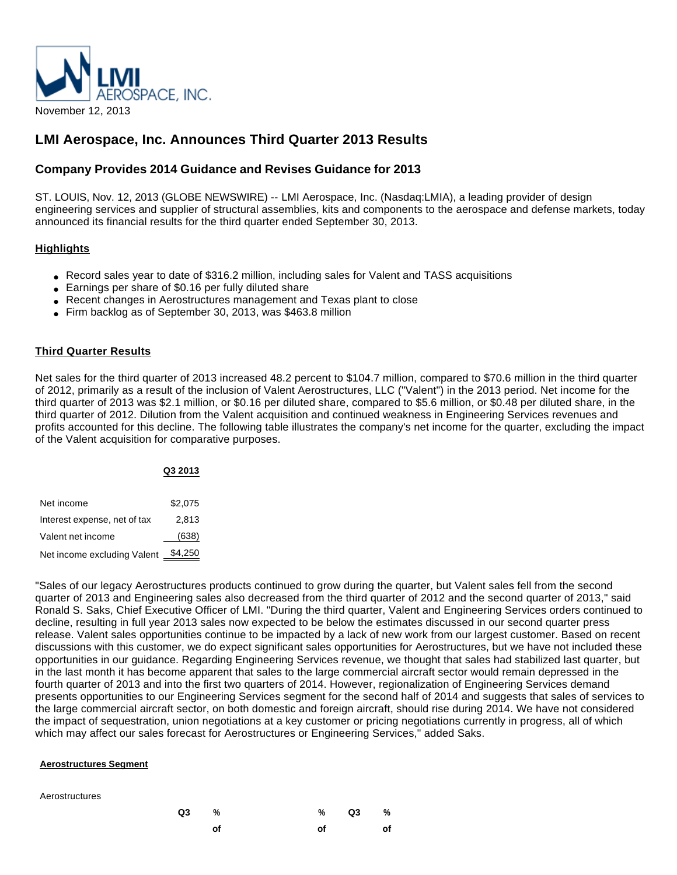

# **LMI Aerospace, Inc. Announces Third Quarter 2013 Results**

# **Company Provides 2014 Guidance and Revises Guidance for 2013**

ST. LOUIS, Nov. 12, 2013 (GLOBE NEWSWIRE) -- LMI Aerospace, Inc. (Nasdaq:LMIA), a leading provider of design engineering services and supplier of structural assemblies, kits and components to the aerospace and defense markets, today announced its financial results for the third quarter ended September 30, 2013.

# **Highlights**

- Record sales year to date of \$316.2 million, including sales for Valent and TASS acquisitions
- Earnings per share of \$0.16 per fully diluted share
- Recent changes in Aerostructures management and Texas plant to close
- Firm backlog as of September 30, 2013, was \$463.8 million

### **Third Quarter Results**

Net sales for the third quarter of 2013 increased 48.2 percent to \$104.7 million, compared to \$70.6 million in the third quarter of 2012, primarily as a result of the inclusion of Valent Aerostructures, LLC ("Valent") in the 2013 period. Net income for the third quarter of 2013 was \$2.1 million, or \$0.16 per diluted share, compared to \$5.6 million, or \$0.48 per diluted share, in the third quarter of 2012. Dilution from the Valent acquisition and continued weakness in Engineering Services revenues and profits accounted for this decline. The following table illustrates the company's net income for the quarter, excluding the impact of the Valent acquisition for comparative purposes.

|                              | Q3 2013 |
|------------------------------|---------|
| Net income                   | \$2,075 |
| Interest expense, net of tax | 2,813   |
| Valent net income            | (638)   |
| Net income excluding Valent  | \$4,250 |

"Sales of our legacy Aerostructures products continued to grow during the quarter, but Valent sales fell from the second quarter of 2013 and Engineering sales also decreased from the third quarter of 2012 and the second quarter of 2013," said Ronald S. Saks, Chief Executive Officer of LMI. "During the third quarter, Valent and Engineering Services orders continued to decline, resulting in full year 2013 sales now expected to be below the estimates discussed in our second quarter press release. Valent sales opportunities continue to be impacted by a lack of new work from our largest customer. Based on recent discussions with this customer, we do expect significant sales opportunities for Aerostructures, but we have not included these opportunities in our guidance. Regarding Engineering Services revenue, we thought that sales had stabilized last quarter, but in the last month it has become apparent that sales to the large commercial aircraft sector would remain depressed in the fourth quarter of 2013 and into the first two quarters of 2014. However, regionalization of Engineering Services demand presents opportunities to our Engineering Services segment for the second half of 2014 and suggests that sales of services to the large commercial aircraft sector, on both domestic and foreign aircraft, should rise during 2014. We have not considered the impact of sequestration, union negotiations at a key customer or pricing negotiations currently in progress, all of which which may affect our sales forecast for Aerostructures or Engineering Services," added Saks.

#### **Aerostructures Segment**

#### Aerostructures

| Q3 % |    |    | $\%$ Q3 $\%$ |    |
|------|----|----|--------------|----|
|      | of | of |              | of |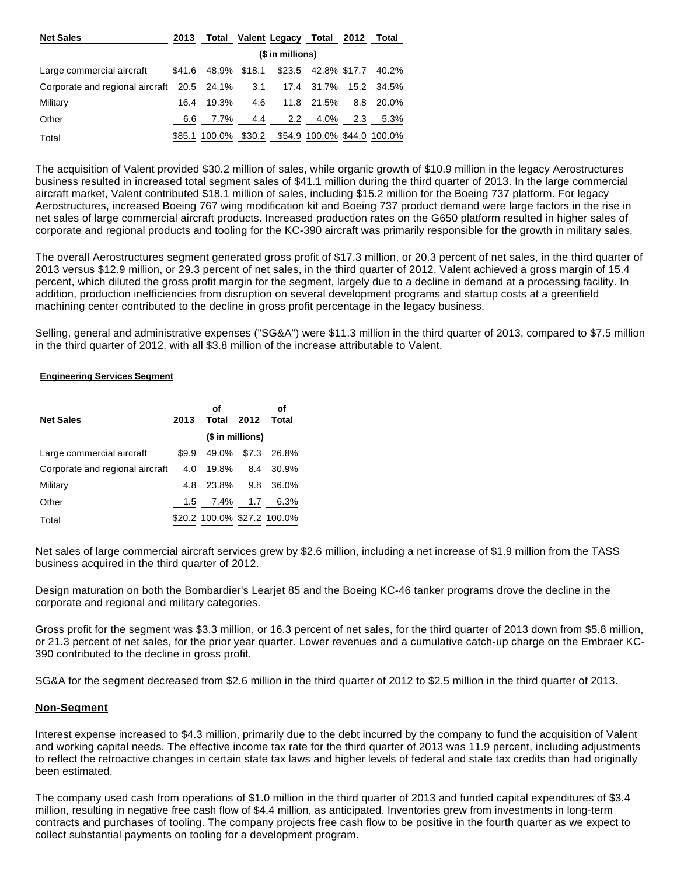| <b>Net Sales</b>                           | 2013 |                                                  |       |               | Total Valent Legacy Total 2012 Total |     |            |
|--------------------------------------------|------|--------------------------------------------------|-------|---------------|--------------------------------------|-----|------------|
|                                            |      | (\$ in millions)                                 |       |               |                                      |     |            |
| Large commercial aircraft                  |      | \$41.6 48.9% \$18.1                              |       |               | \$23.5 42.8% \$17.7 40.2%            |     |            |
| Corporate and regional aircraft 20.5 24.1% |      |                                                  | - 3.1 |               | 17.4 31.7%                           |     | 15.2 34.5% |
| Military                                   | 16.4 | 19.3%                                            | 4.6   |               | 11.8 21.5%                           |     | 8.8 20.0%  |
| Other                                      | 6.6  | 7.7%                                             | 4.4   | $2.2^{\circ}$ | 4.0%                                 | 2.3 | 5.3%       |
| Total                                      |      | \$85.1 100.0% \$30.2 \$54.9 100.0% \$44.0 100.0% |       |               |                                      |     |            |

The acquisition of Valent provided \$30.2 million of sales, while organic growth of \$10.9 million in the legacy Aerostructures business resulted in increased total segment sales of \$41.1 million during the third quarter of 2013. In the large commercial aircraft market, Valent contributed \$18.1 million of sales, including \$15.2 million for the Boeing 737 platform. For legacy Aerostructures, increased Boeing 767 wing modification kit and Boeing 737 product demand were large factors in the rise in net sales of large commercial aircraft products. Increased production rates on the G650 platform resulted in higher sales of corporate and regional products and tooling for the KC-390 aircraft was primarily responsible for the growth in military sales.

The overall Aerostructures segment generated gross profit of \$17.3 million, or 20.3 percent of net sales, in the third quarter of 2013 versus \$12.9 million, or 29.3 percent of net sales, in the third quarter of 2012. Valent achieved a gross margin of 15.4 percent, which diluted the gross profit margin for the segment, largely due to a decline in demand at a processing facility. In addition, production inefficiencies from disruption on several development programs and startup costs at a greenfield machining center contributed to the decline in gross profit percentage in the legacy business.

Selling, general and administrative expenses ("SG&A") were \$11.3 million in the third quarter of 2013, compared to \$7.5 million in the third quarter of 2012, with all \$3.8 million of the increase attributable to Valent.

#### **Engineering Services Segment**

| <b>Net Sales</b>                | 2013  | οf<br>Total                 | 2012  | οf<br>Total |
|---------------------------------|-------|-----------------------------|-------|-------------|
|                                 |       | (\$ in millions)            |       |             |
| Large commercial aircraft       | \$9.9 | 49.0%                       | \$7.3 | 26.8%       |
| Corporate and regional aircraft | 4.0   | 19.8%                       | 8.4   | 30.9%       |
| Military                        | 4.8   | 23.8%                       | 9.8   | 36.0%       |
| Other                           | 1.5   | 7.4%                        | 1.7   | 6.3%        |
| Total                           |       | \$20.2 100.0% \$27.2 100.0% |       |             |

Net sales of large commercial aircraft services grew by \$2.6 million, including a net increase of \$1.9 million from the TASS business acquired in the third quarter of 2012.

Design maturation on both the Bombardier's Learjet 85 and the Boeing KC-46 tanker programs drove the decline in the corporate and regional and military categories.

Gross profit for the segment was \$3.3 million, or 16.3 percent of net sales, for the third quarter of 2013 down from \$5.8 million, or 21.3 percent of net sales, for the prior year quarter. Lower revenues and a cumulative catch-up charge on the Embraer KC-390 contributed to the decline in gross profit.

SG&A for the segment decreased from \$2.6 million in the third quarter of 2012 to \$2.5 million in the third quarter of 2013.

# **Non-Segment**

Interest expense increased to \$4.3 million, primarily due to the debt incurred by the company to fund the acquisition of Valent and working capital needs. The effective income tax rate for the third quarter of 2013 was 11.9 percent, including adjustments to reflect the retroactive changes in certain state tax laws and higher levels of federal and state tax credits than had originally been estimated.

The company used cash from operations of \$1.0 million in the third quarter of 2013 and funded capital expenditures of \$3.4 million, resulting in negative free cash flow of \$4.4 million, as anticipated. Inventories grew from investments in long-term contracts and purchases of tooling. The company projects free cash flow to be positive in the fourth quarter as we expect to collect substantial payments on tooling for a development program.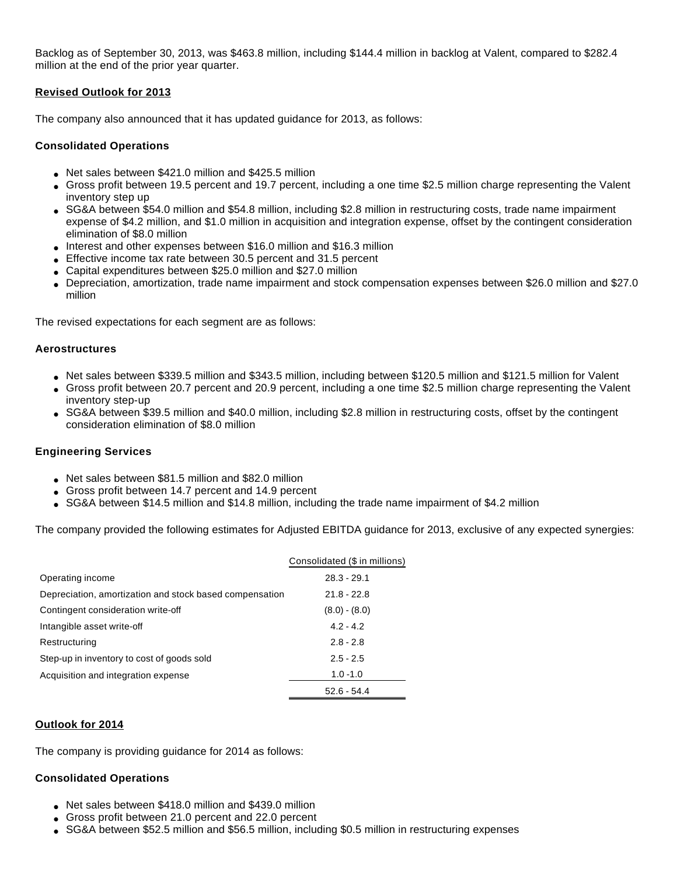Backlog as of September 30, 2013, was \$463.8 million, including \$144.4 million in backlog at Valent, compared to \$282.4 million at the end of the prior year quarter.

# **Revised Outlook for 2013**

The company also announced that it has updated guidance for 2013, as follows:

# **Consolidated Operations**

- Net sales between \$421.0 million and \$425.5 million
- Gross profit between 19.5 percent and 19.7 percent, including a one time \$2.5 million charge representing the Valent inventory step up
- SG&A between \$54.0 million and \$54.8 million, including \$2.8 million in restructuring costs, trade name impairment expense of \$4.2 million, and \$1.0 million in acquisition and integration expense, offset by the contingent consideration elimination of \$8.0 million
- Interest and other expenses between \$16.0 million and \$16.3 million
- Effective income tax rate between 30.5 percent and 31.5 percent
- Capital expenditures between \$25.0 million and \$27.0 million
- Depreciation, amortization, trade name impairment and stock compensation expenses between \$26.0 million and \$27.0 million

The revised expectations for each segment are as follows:

# **Aerostructures**

- Net sales between \$339.5 million and \$343.5 million, including between \$120.5 million and \$121.5 million for Valent
- Gross profit between 20.7 percent and 20.9 percent, including a one time \$2.5 million charge representing the Valent inventory step-up
- SG&A between \$39.5 million and \$40.0 million, including \$2.8 million in restructuring costs, offset by the contingent consideration elimination of \$8.0 million

# **Engineering Services**

- Net sales between \$81.5 million and \$82.0 million
- Gross profit between 14.7 percent and 14.9 percent
- SG&A between \$14.5 million and \$14.8 million, including the trade name impairment of \$4.2 million

The company provided the following estimates for Adjusted EBITDA guidance for 2013, exclusive of any expected synergies:

|                                                         | Consolidated (\$ in millions) |
|---------------------------------------------------------|-------------------------------|
| Operating income                                        | $28.3 - 29.1$                 |
| Depreciation, amortization and stock based compensation | $21.8 - 22.8$                 |
| Contingent consideration write-off                      | $(8.0) - (8.0)$               |
| Intangible asset write-off                              | $4.2 - 4.2$                   |
| Restructuring                                           | $2.8 - 2.8$                   |
| Step-up in inventory to cost of goods sold              | $2.5 - 2.5$                   |
| Acquisition and integration expense                     | $1.0 - 1.0$                   |
|                                                         | $52.6 - 54.4$                 |

# **Outlook for 2014**

The company is providing guidance for 2014 as follows:

# **Consolidated Operations**

- Net sales between \$418.0 million and \$439.0 million
- Gross profit between 21.0 percent and 22.0 percent
- SG&A between \$52.5 million and \$56.5 million, including \$0.5 million in restructuring expenses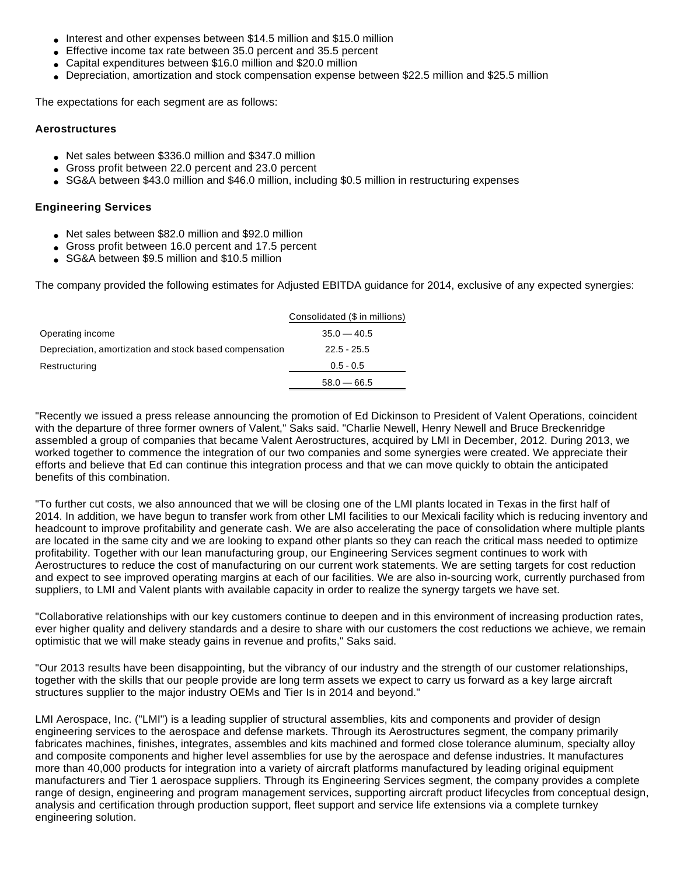- Interest and other expenses between \$14.5 million and \$15.0 million
- Effective income tax rate between 35.0 percent and 35.5 percent
- Capital expenditures between \$16.0 million and \$20.0 million
- Depreciation, amortization and stock compensation expense between \$22.5 million and \$25.5 million

The expectations for each segment are as follows:

# **Aerostructures**

- Net sales between \$336.0 million and \$347.0 million
- Gross profit between 22.0 percent and 23.0 percent
- SG&A between \$43.0 million and \$46.0 million, including \$0.5 million in restructuring expenses

# **Engineering Services**

- Net sales between \$82.0 million and \$92.0 million
- Gross profit between 16.0 percent and 17.5 percent
- SG&A between \$9.5 million and \$10.5 million

The company provided the following estimates for Adjusted EBITDA guidance for 2014, exclusive of any expected synergies:

|                                                         | Consolidated (\$ in millions) |
|---------------------------------------------------------|-------------------------------|
| Operating income                                        | $35.0 - 40.5$                 |
| Depreciation, amortization and stock based compensation | $22.5 - 25.5$                 |
| Restructuring                                           | $0.5 - 0.5$                   |
|                                                         | $58.0 - 66.5$                 |
|                                                         |                               |

"Recently we issued a press release announcing the promotion of Ed Dickinson to President of Valent Operations, coincident with the departure of three former owners of Valent," Saks said. "Charlie Newell, Henry Newell and Bruce Breckenridge assembled a group of companies that became Valent Aerostructures, acquired by LMI in December, 2012. During 2013, we worked together to commence the integration of our two companies and some synergies were created. We appreciate their efforts and believe that Ed can continue this integration process and that we can move quickly to obtain the anticipated benefits of this combination.

"To further cut costs, we also announced that we will be closing one of the LMI plants located in Texas in the first half of 2014. In addition, we have begun to transfer work from other LMI facilities to our Mexicali facility which is reducing inventory and headcount to improve profitability and generate cash. We are also accelerating the pace of consolidation where multiple plants are located in the same city and we are looking to expand other plants so they can reach the critical mass needed to optimize profitability. Together with our lean manufacturing group, our Engineering Services segment continues to work with Aerostructures to reduce the cost of manufacturing on our current work statements. We are setting targets for cost reduction and expect to see improved operating margins at each of our facilities. We are also in-sourcing work, currently purchased from suppliers, to LMI and Valent plants with available capacity in order to realize the synergy targets we have set.

"Collaborative relationships with our key customers continue to deepen and in this environment of increasing production rates, ever higher quality and delivery standards and a desire to share with our customers the cost reductions we achieve, we remain optimistic that we will make steady gains in revenue and profits," Saks said.

"Our 2013 results have been disappointing, but the vibrancy of our industry and the strength of our customer relationships, together with the skills that our people provide are long term assets we expect to carry us forward as a key large aircraft structures supplier to the major industry OEMs and Tier Is in 2014 and beyond."

LMI Aerospace, Inc. ("LMI") is a leading supplier of structural assemblies, kits and components and provider of design engineering services to the aerospace and defense markets. Through its Aerostructures segment, the company primarily fabricates machines, finishes, integrates, assembles and kits machined and formed close tolerance aluminum, specialty alloy and composite components and higher level assemblies for use by the aerospace and defense industries. It manufactures more than 40,000 products for integration into a variety of aircraft platforms manufactured by leading original equipment manufacturers and Tier 1 aerospace suppliers. Through its Engineering Services segment, the company provides a complete range of design, engineering and program management services, supporting aircraft product lifecycles from conceptual design, analysis and certification through production support, fleet support and service life extensions via a complete turnkey engineering solution.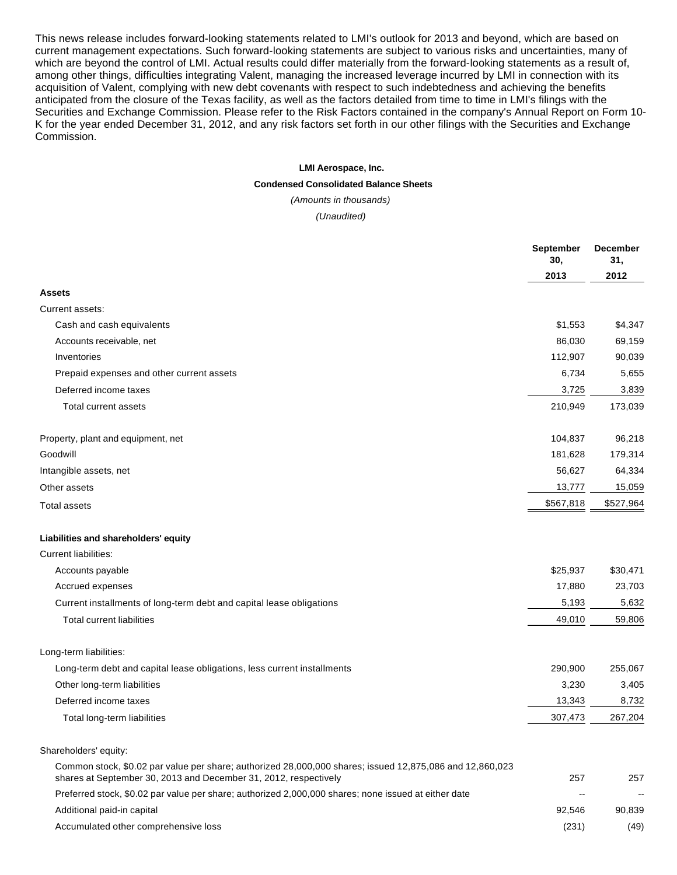This news release includes forward-looking statements related to LMI's outlook for 2013 and beyond, which are based on current management expectations. Such forward-looking statements are subject to various risks and uncertainties, many of which are beyond the control of LMI. Actual results could differ materially from the forward-looking statements as a result of, among other things, difficulties integrating Valent, managing the increased leverage incurred by LMI in connection with its acquisition of Valent, complying with new debt covenants with respect to such indebtedness and achieving the benefits anticipated from the closure of the Texas facility, as well as the factors detailed from time to time in LMI's filings with the Securities and Exchange Commission. Please refer to the Risk Factors contained in the company's Annual Report on Form 10- K for the year ended December 31, 2012, and any risk factors set forth in our other filings with the Securities and Exchange Commission.

#### **LMI Aerospace, Inc.**

#### **Condensed Consolidated Balance Sheets**

(Amounts in thousands)

(Unaudited)

|                                                                                                                                                                              | <b>September</b><br>30,  | <b>December</b><br>31,   |
|------------------------------------------------------------------------------------------------------------------------------------------------------------------------------|--------------------------|--------------------------|
|                                                                                                                                                                              | 2013                     | 2012                     |
| Assets                                                                                                                                                                       |                          |                          |
| Current assets:                                                                                                                                                              |                          |                          |
| Cash and cash equivalents                                                                                                                                                    | \$1,553                  | \$4,347                  |
| Accounts receivable, net                                                                                                                                                     | 86,030                   | 69,159                   |
| Inventories                                                                                                                                                                  | 112,907                  | 90,039                   |
| Prepaid expenses and other current assets                                                                                                                                    | 6,734                    | 5,655                    |
| Deferred income taxes                                                                                                                                                        | 3,725                    | 3,839                    |
| <b>Total current assets</b>                                                                                                                                                  | 210,949                  | 173,039                  |
| Property, plant and equipment, net                                                                                                                                           | 104,837                  | 96,218                   |
| Goodwill                                                                                                                                                                     | 181,628                  | 179,314                  |
| Intangible assets, net                                                                                                                                                       | 56,627                   | 64,334                   |
| Other assets                                                                                                                                                                 | 13,777                   | 15,059                   |
| <b>Total assets</b>                                                                                                                                                          | \$567,818                | \$527,964                |
| Liabilities and shareholders' equity                                                                                                                                         |                          |                          |
| <b>Current liabilities:</b>                                                                                                                                                  |                          |                          |
| Accounts payable                                                                                                                                                             | \$25,937                 | \$30,471                 |
| Accrued expenses                                                                                                                                                             | 17,880                   | 23,703                   |
| Current installments of long-term debt and capital lease obligations                                                                                                         | 5,193                    | 5,632                    |
| <b>Total current liabilities</b>                                                                                                                                             | 49,010                   | 59,806                   |
| Long-term liabilities:                                                                                                                                                       |                          |                          |
| Long-term debt and capital lease obligations, less current installments                                                                                                      | 290,900                  | 255,067                  |
| Other long-term liabilities                                                                                                                                                  | 3,230                    | 3,405                    |
| Deferred income taxes                                                                                                                                                        | 13,343                   | 8,732                    |
| Total long-term liabilities                                                                                                                                                  | 307,473                  | 267,204                  |
| Shareholders' equity:                                                                                                                                                        |                          |                          |
| Common stock, \$0.02 par value per share; authorized 28,000,000 shares; issued 12,875,086 and 12,860,023<br>shares at September 30, 2013 and December 31, 2012, respectively | 257                      | 257                      |
| Preferred stock, \$0.02 par value per share; authorized 2,000,000 shares; none issued at either date                                                                         | $\overline{\phantom{a}}$ | $\overline{\phantom{a}}$ |
| Additional paid-in capital                                                                                                                                                   | 92,546                   | 90,839                   |
| Accumulated other comprehensive loss                                                                                                                                         | (231)                    | (49)                     |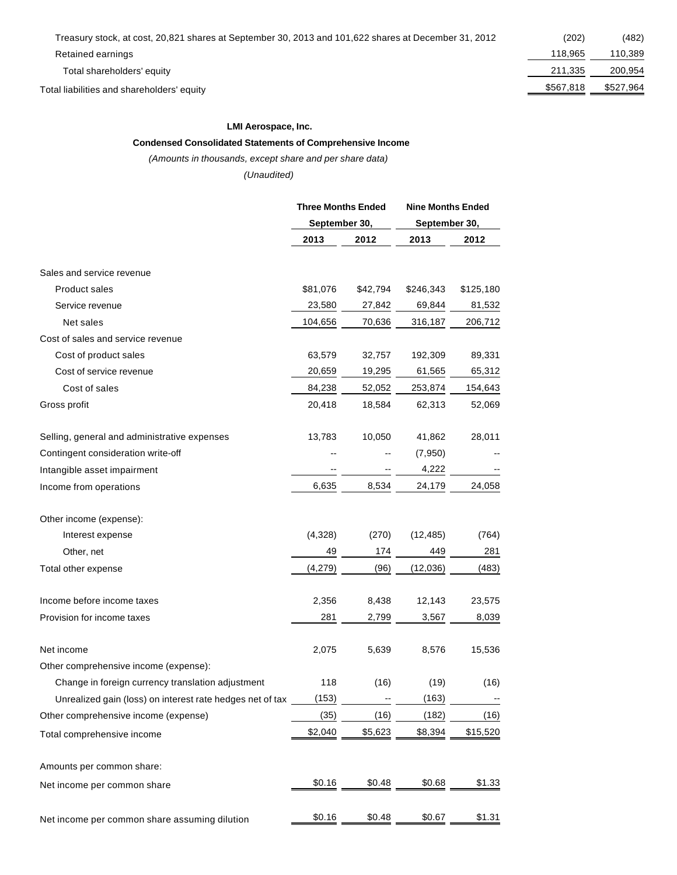Retained earnings

Total shareholders' equity

Total liabilities and shareholders' equity

| (202)     | (482)     |
|-----------|-----------|
| 118.965   | 110,389   |
| 211,335   | 200,954   |
| \$567,818 | \$527,964 |
|           |           |

### **LMI Aerospace, Inc.**

#### **Condensed Consolidated Statements of Comprehensive Income**

(Amounts in thousands, except share and per share data)

(Unaudited)

|                                                           | <b>Three Months Ended</b> |               | <b>Nine Months Ended</b> |               |  |  |
|-----------------------------------------------------------|---------------------------|---------------|--------------------------|---------------|--|--|
|                                                           |                           | September 30, |                          | September 30, |  |  |
|                                                           | 2013                      | 2012          | 2013                     | 2012          |  |  |
| Sales and service revenue                                 |                           |               |                          |               |  |  |
| Product sales                                             | \$81,076                  | \$42,794      | \$246,343                | \$125,180     |  |  |
| Service revenue                                           | 23,580                    | 27,842        | 69,844                   | 81,532        |  |  |
| Net sales                                                 | 104,656                   | 70,636        | 316,187                  | 206,712       |  |  |
| Cost of sales and service revenue                         |                           |               |                          |               |  |  |
| Cost of product sales                                     | 63,579                    | 32,757        | 192,309                  | 89,331        |  |  |
| Cost of service revenue                                   | 20,659                    | 19,295        | 61,565                   | 65,312        |  |  |
| Cost of sales                                             | 84,238                    | 52,052        | 253,874                  | 154,643       |  |  |
| Gross profit                                              | 20,418                    | 18,584        | 62,313                   | 52,069        |  |  |
| Selling, general and administrative expenses              | 13,783                    | 10,050        | 41,862                   | 28,011        |  |  |
| Contingent consideration write-off                        |                           |               | (7,950)                  |               |  |  |
| Intangible asset impairment                               |                           |               | 4,222                    |               |  |  |
| Income from operations                                    | 6,635                     | 8,534         | 24,179                   | 24,058        |  |  |
| Other income (expense):                                   |                           |               |                          |               |  |  |
| Interest expense                                          | (4,328)                   | (270)         | (12, 485)                | (764)         |  |  |
| Other, net                                                | 49                        | 174           | 449                      | 281           |  |  |
| Total other expense                                       | (4,279)                   | (96)          | (12,036)                 | (483)         |  |  |
| Income before income taxes                                | 2,356                     | 8,438         | 12,143                   | 23,575        |  |  |
| Provision for income taxes                                | 281                       | 2,799         | 3,567                    | 8,039         |  |  |
| Net income                                                | 2,075                     | 5,639         | 8,576                    | 15,536        |  |  |
| Other comprehensive income (expense):                     |                           |               |                          |               |  |  |
| Change in foreign currency translation adjustment         | 118                       | (16)          | (19)                     | (16)          |  |  |
| Unrealized gain (loss) on interest rate hedges net of tax | (153)                     |               | (163)                    |               |  |  |
| Other comprehensive income (expense)                      | (35)                      | (16)          | (182)                    | (16)          |  |  |
| Total comprehensive income                                | \$2,040                   | \$5,623       | \$8,394                  | \$15,520      |  |  |
| Amounts per common share:                                 |                           |               |                          |               |  |  |
| Net income per common share                               | \$0.16                    | \$0.48        | \$0.68                   | \$1.33        |  |  |
| Net income per common share assuming dilution             | \$0.16                    | \$0.48        | \$0.67                   | \$1.31        |  |  |
|                                                           |                           |               |                          |               |  |  |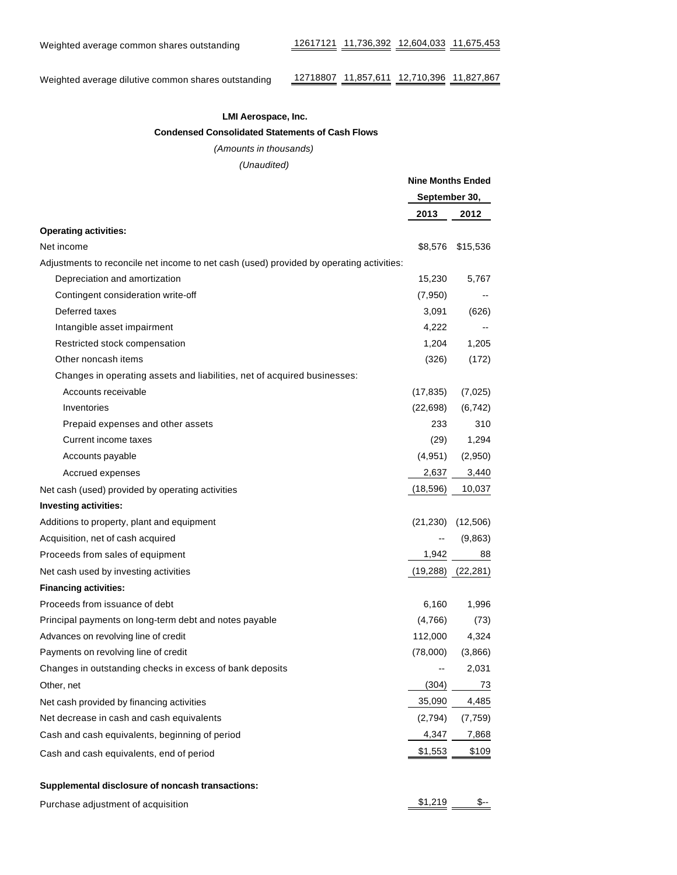Weighted average dilutive common shares outstanding 12718807 11,857,611 12,710,396 11,827,867

### **LMI Aerospace, Inc.**

 **Condensed Consolidated Statements of Cash Flows**

#### (Amounts in thousands)

(Unaudited)

|                                                                                          | <b>Nine Months Ended</b> |                       |
|------------------------------------------------------------------------------------------|--------------------------|-----------------------|
|                                                                                          | September 30,            |                       |
|                                                                                          | 2013                     | 2012                  |
| <b>Operating activities:</b>                                                             |                          |                       |
| Net income                                                                               | \$8,576                  | \$15,536              |
| Adjustments to reconcile net income to net cash (used) provided by operating activities: |                          |                       |
| Depreciation and amortization                                                            | 15,230                   | 5,767                 |
| Contingent consideration write-off                                                       | (7,950)                  |                       |
| Deferred taxes                                                                           | 3,091                    | (626)                 |
| Intangible asset impairment                                                              | 4,222                    |                       |
| Restricted stock compensation                                                            | 1,204                    | 1,205                 |
| Other noncash items                                                                      | (326)                    | (172)                 |
| Changes in operating assets and liabilities, net of acquired businesses:                 |                          |                       |
| Accounts receivable                                                                      | (17, 835)                | (7,025)               |
| Inventories                                                                              | (22, 698)                | (6, 742)              |
| Prepaid expenses and other assets                                                        | 233                      | 310                   |
| Current income taxes                                                                     | (29)                     | 1,294                 |
| Accounts payable                                                                         | (4,951)                  | (2,950)               |
| Accrued expenses                                                                         | 2,637                    | 3,440                 |
| Net cash (used) provided by operating activities                                         | (18, 596)                | 10,037                |
| Investing activities:                                                                    |                          |                       |
| Additions to property, plant and equipment                                               |                          | $(21,230)$ $(12,506)$ |
| Acquisition, net of cash acquired                                                        | --                       | (9,863)               |
| Proceeds from sales of equipment                                                         | 1,942                    | 88                    |
| Net cash used by investing activities                                                    |                          | $(19,288)$ $(22,281)$ |
| <b>Financing activities:</b>                                                             |                          |                       |
| Proceeds from issuance of debt                                                           | 6,160                    | 1,996                 |
| Principal payments on long-term debt and notes payable                                   | (4,766)                  | (73)                  |
| Advances on revolving line of credit                                                     | 112,000                  | 4,324                 |
| Payments on revolving line of credit                                                     | (78,000)                 | (3,866)               |
| Changes in outstanding checks in excess of bank deposits                                 |                          | 2,031                 |
| Other, net                                                                               | (304)                    | 73                    |
| Net cash provided by financing activities                                                | 35,090                   | 4,485                 |
| Net decrease in cash and cash equivalents                                                | (2,794)                  | (7, 759)              |
| Cash and cash equivalents, beginning of period                                           | 4,347                    | 7,868                 |
| Cash and cash equivalents, end of period                                                 | \$1,553                  | \$109                 |
| Supplemental disclosure of noncash transactions:                                         |                          |                       |

Purchase adjustment of acquisition  $\frac{$1,219}{}$   $\frac{\$}{-}$